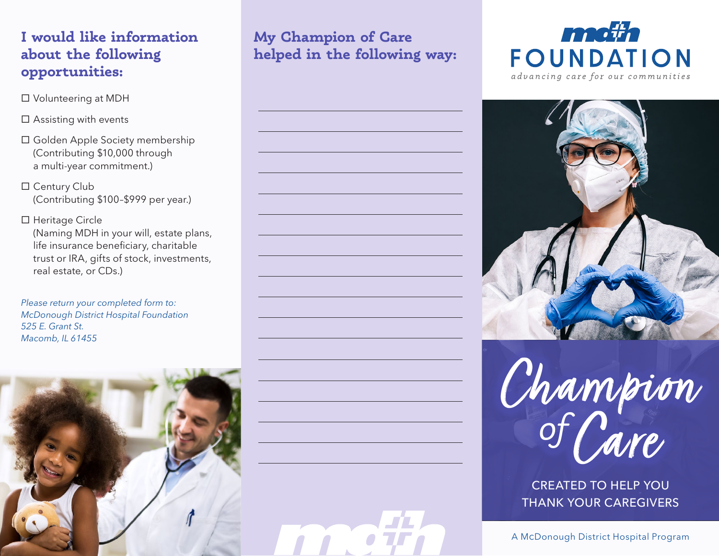# **I would like information about the following opportunities:**

- Volunteering at MDH
- $\square$  Assisting with events
- Golden Apple Society membership (Contributing \$10,000 through a multi-year commitment.)
- □ Century Club (Contributing \$100–\$999 per year.)
- □ Heritage Circle (Naming MDH in your will, estate plans, life insurance beneficiary, charitable trust or IRA, gifts of stock, investments, real estate, or CDs.)

*Please return your completed form to: McDonough District Hospital Foundation 525 E. Grant St. Macomb, IL 61455*



# **My Champion of Care helped in the following way:**











CREATED TO HELP YOU THANK YOUR CAREGIVERS

A McDonough District Hospital Program